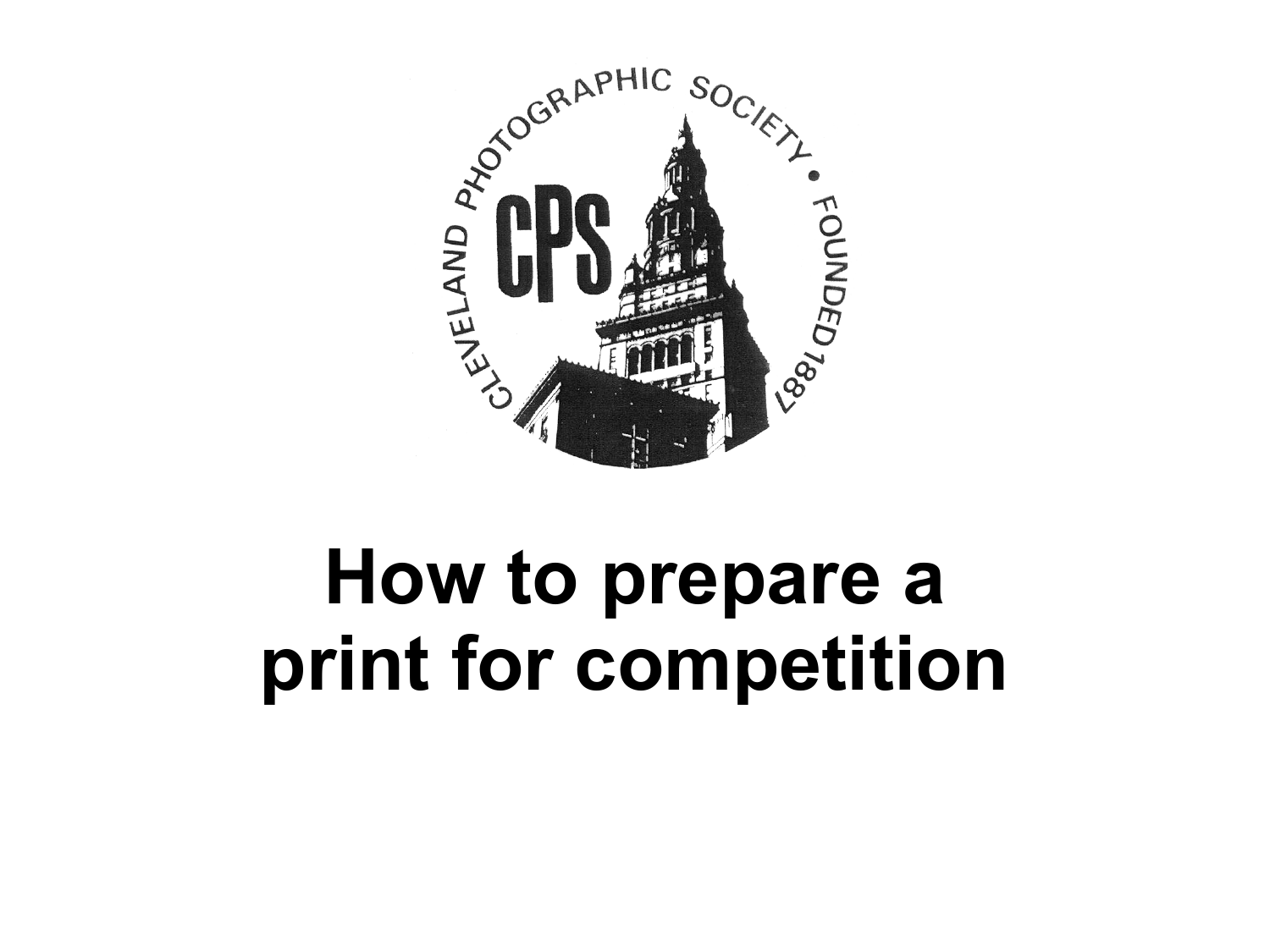

## **How to prepare a print for competition**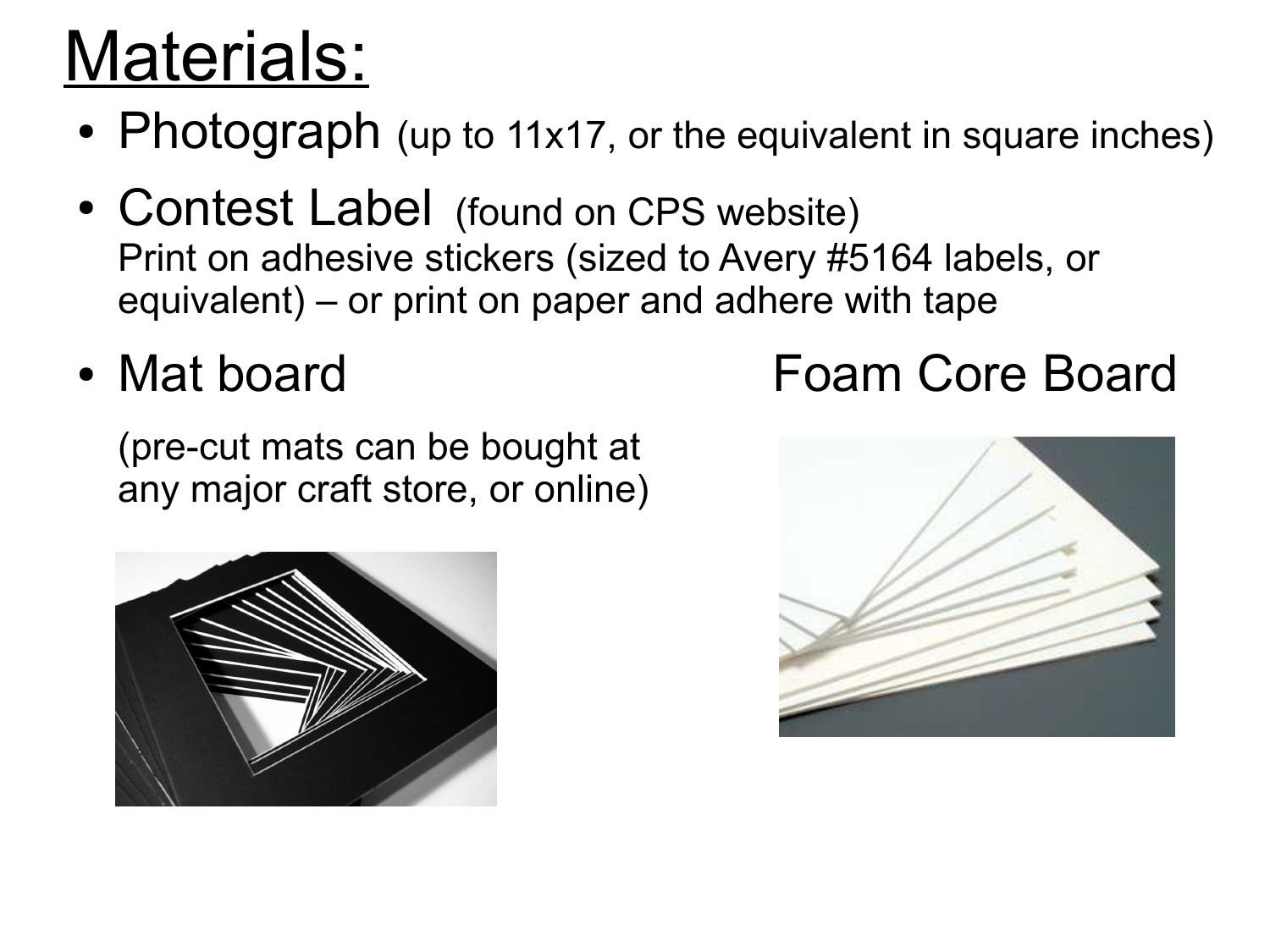### Materials:

- Photograph (up to 11x17, or the equivalent in square inches)
- Contest Label (found on CPS website) Print on adhesive stickers (sized to Avery #5164 labels, or equivalent) – or print on paper and adhere with tape

(pre-cut mats can be bought at any major craft store, or online)



#### • Mat board Foam Core Board

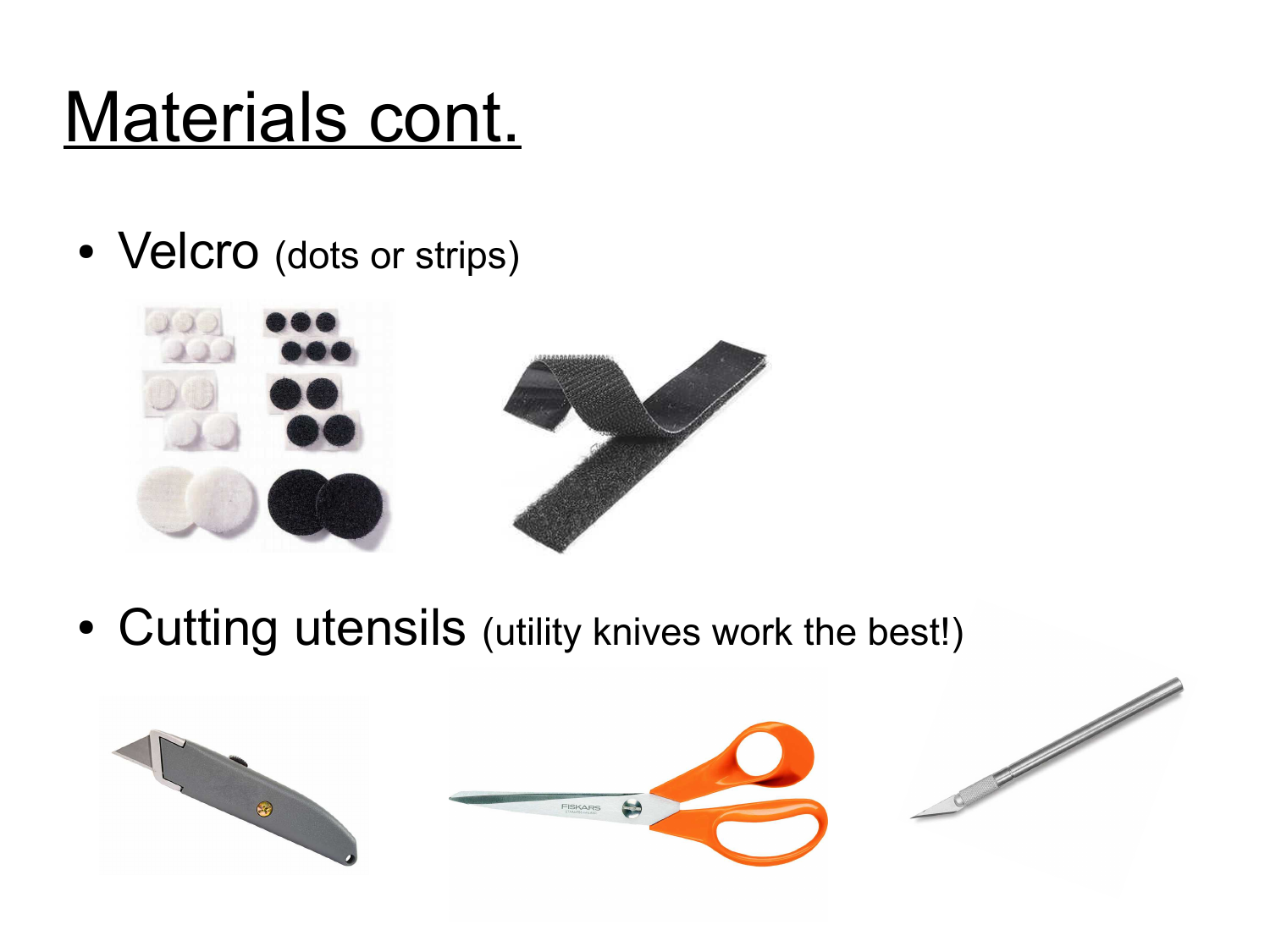## Materials cont.

• Velcro (dots or strips)



• Cutting utensils (utility knives work the best!)

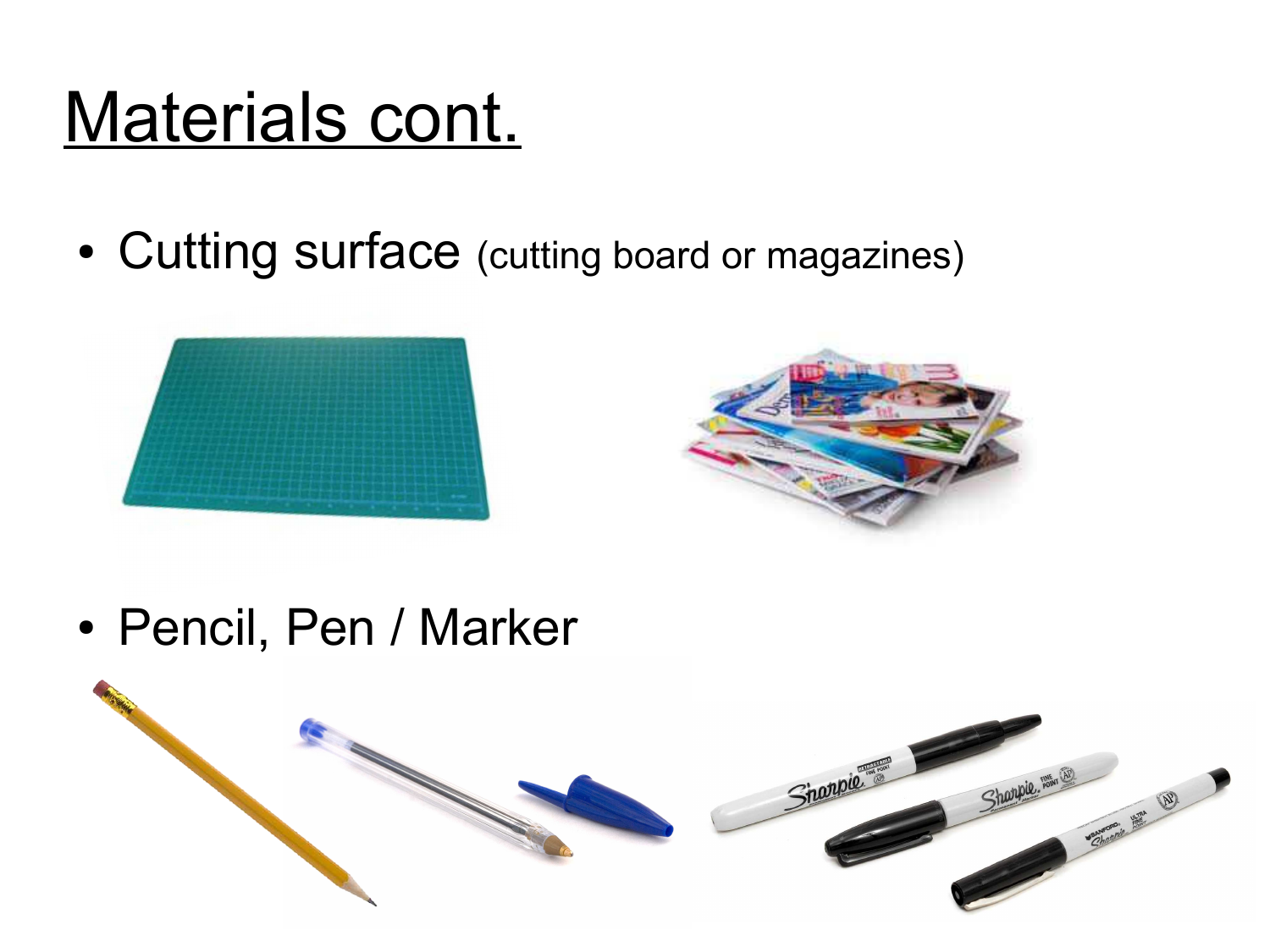#### Materials cont.

• Cutting surface (cutting board or magazines)





• Pencil, Pen / Marker

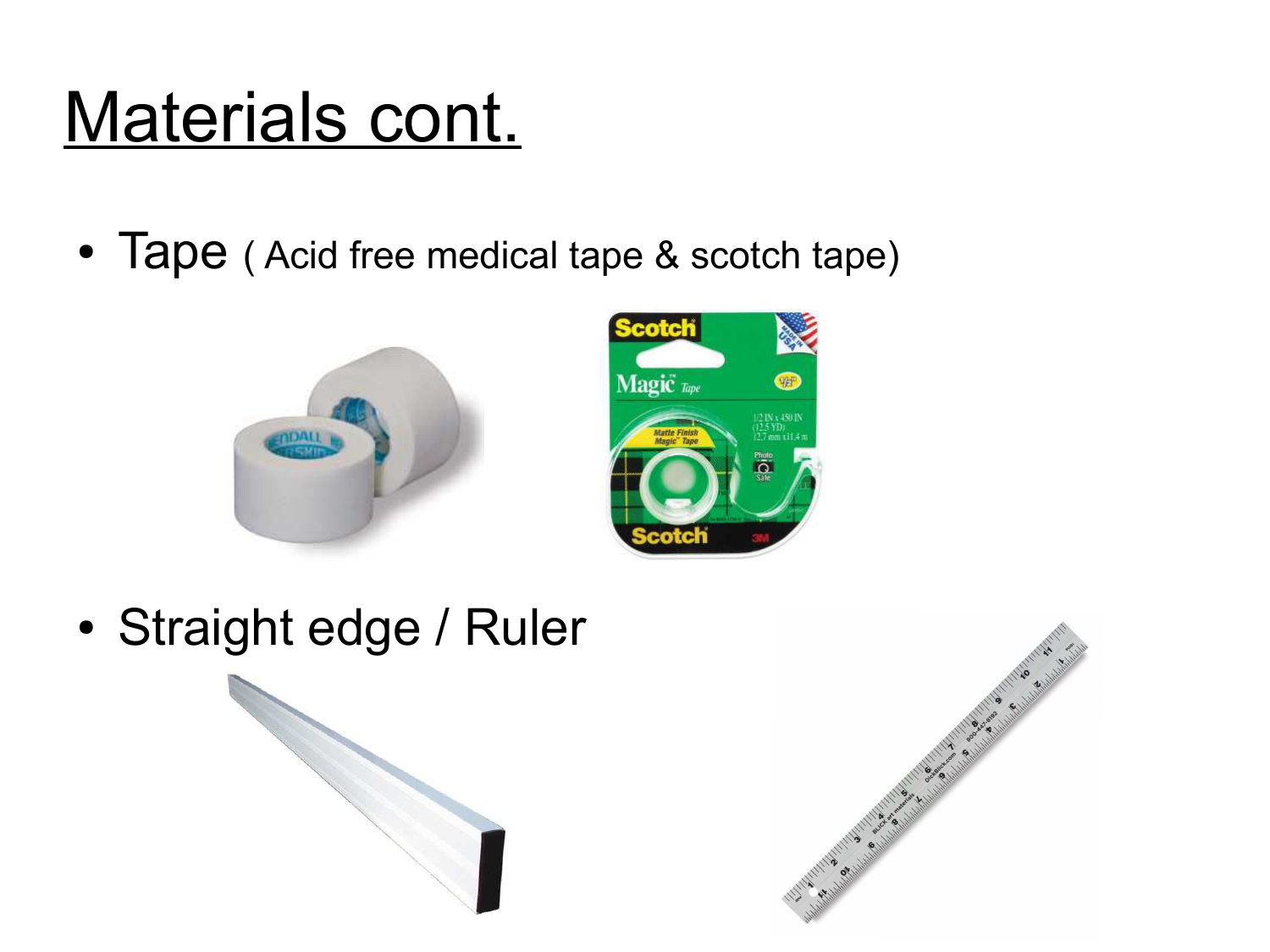#### Materials cont.

• Tape (Acid free medical tape & scotch tape)





• Straight edge / Ruler

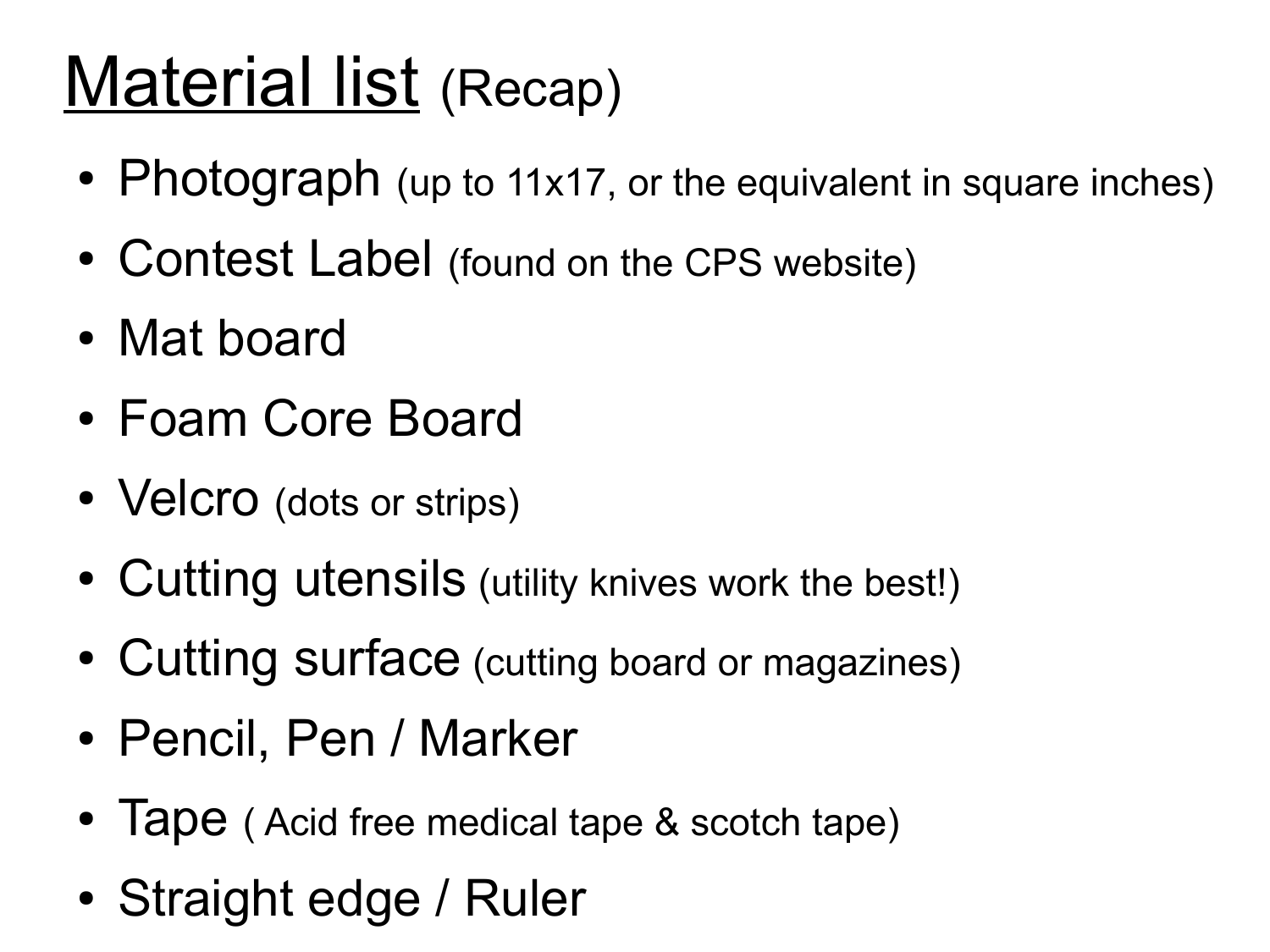#### Material list (Recap)

- Photograph (up to 11x17, or the equivalent in square inches)
- Contest Label (found on the CPS website)
- Mat board
- Foam Core Board
- Velcro (dots or strips)
- Cutting utensils (utility knives work the best!)
- Cutting surface (cutting board or magazines)
- Pencil, Pen / Marker
- Tape (Acid free medical tape & scotch tape)
- Straight edge / Ruler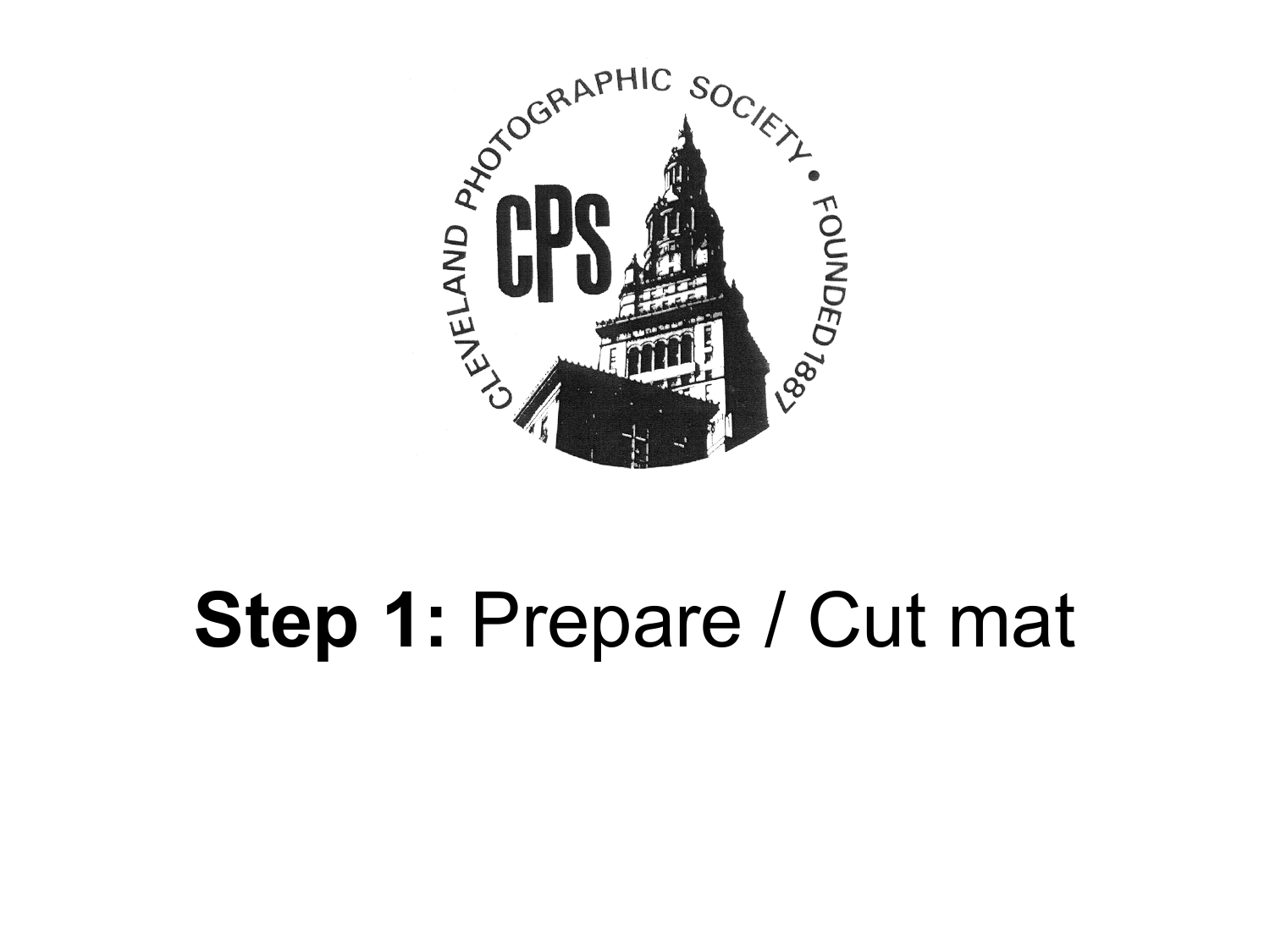

# **Step 1:** Prepare / Cut mat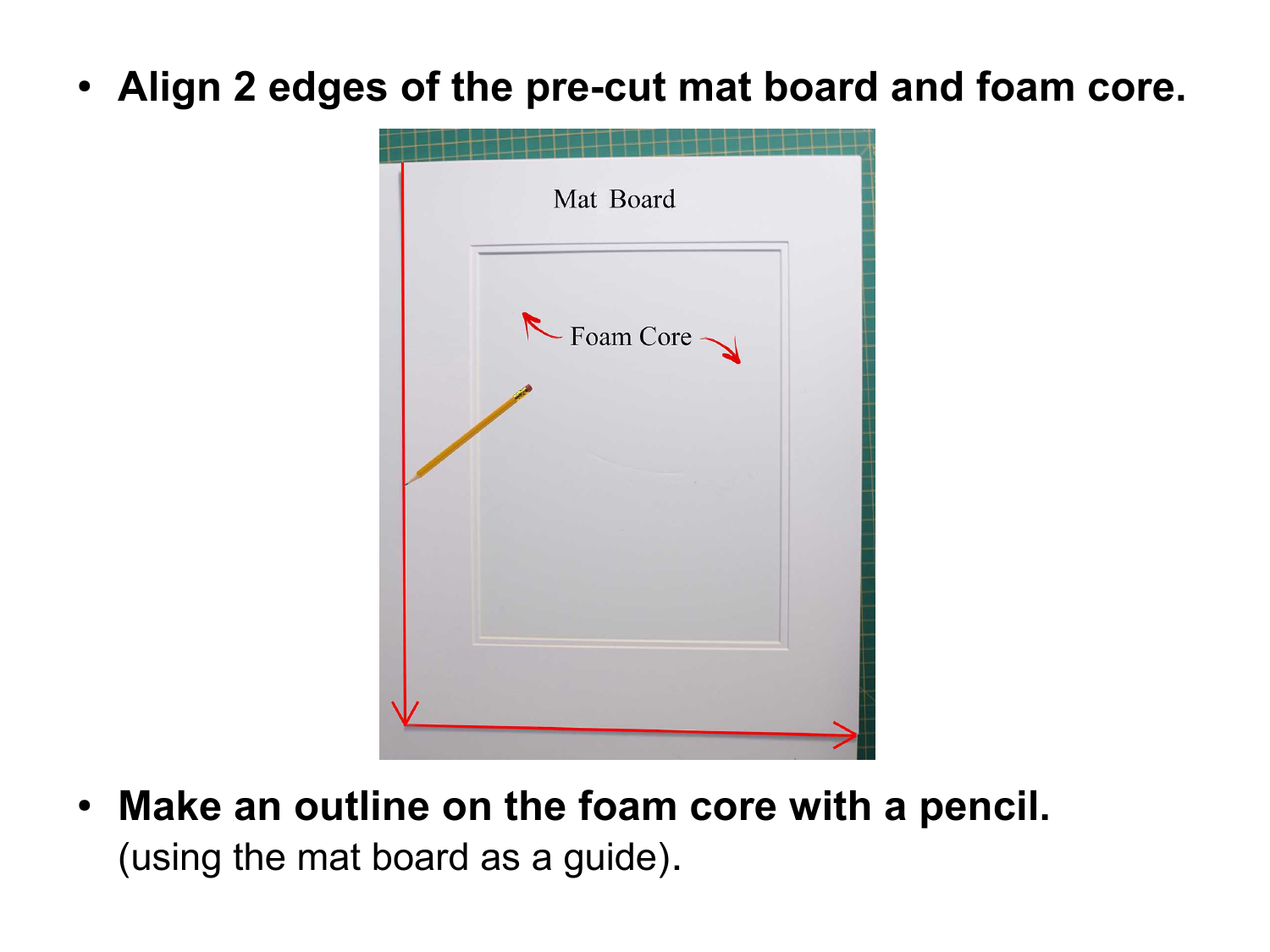● **Align 2 edges of the pre-cut mat board and foam core.**

| Mat Board |  |
|-----------|--|
| Foam Core |  |
|           |  |
|           |  |
|           |  |

• Make an outline on the foam core with a pencil. (using the mat board as a guide).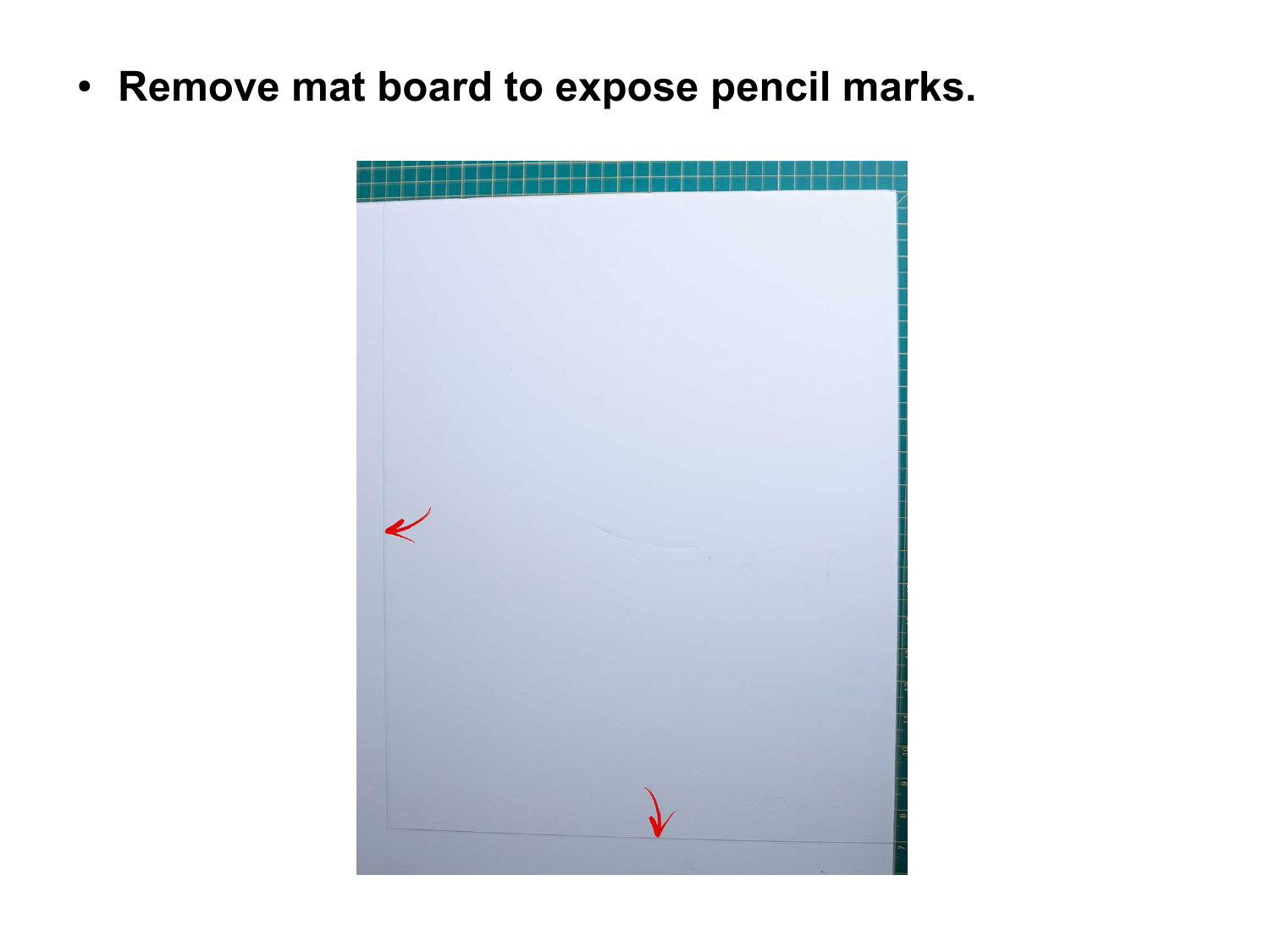● **Remove mat board to expose pencil marks.**

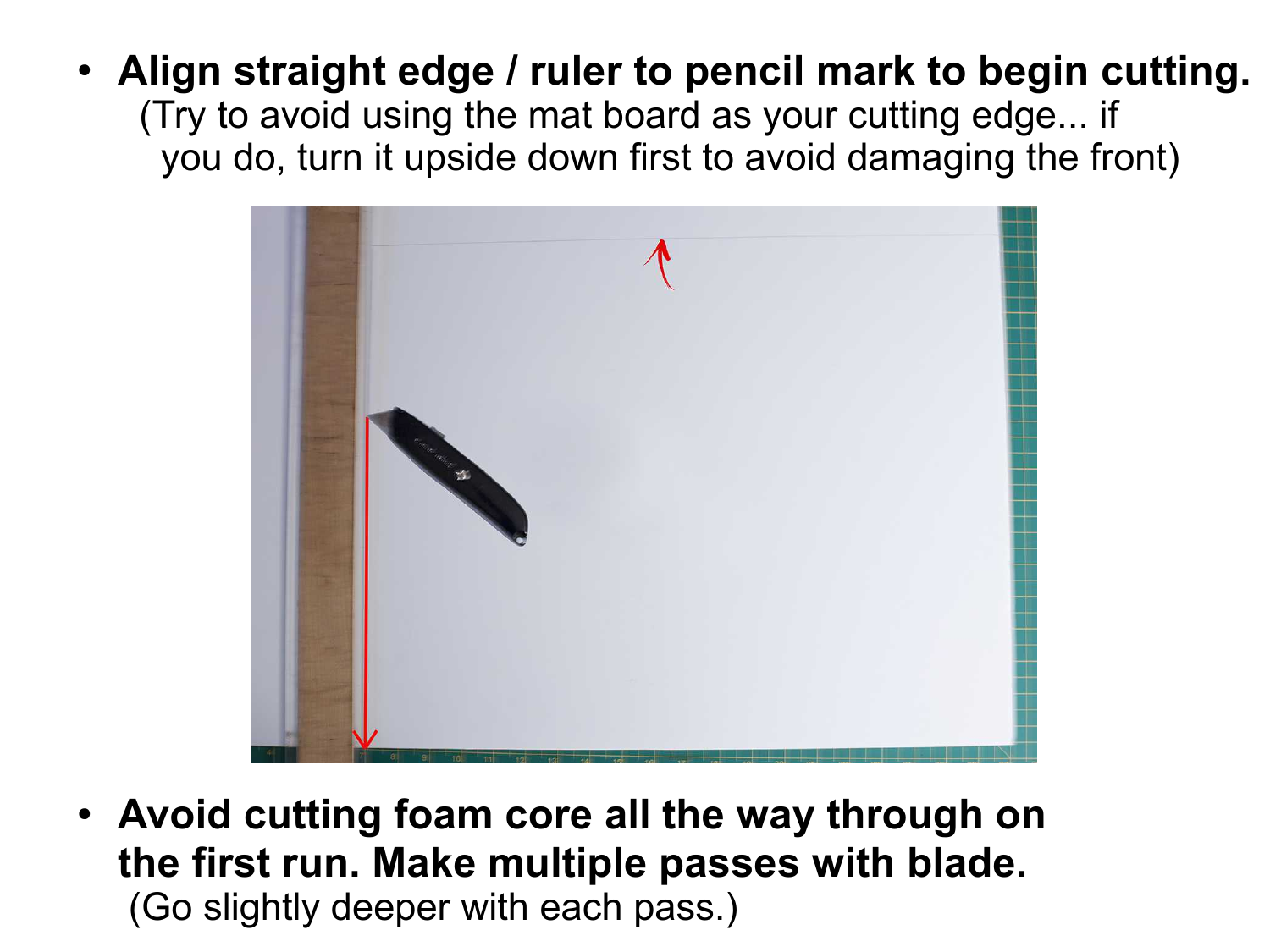• Align straight edge / ruler to pencil mark to begin cutting. (Try to avoid using the mat board as your cutting edge... if you do, turn it upside down first to avoid damaging the front)



• Avoid cutting foam core all the way through on **the first run. Make multiple passes with blade.** (Go slightly deeper with each pass.)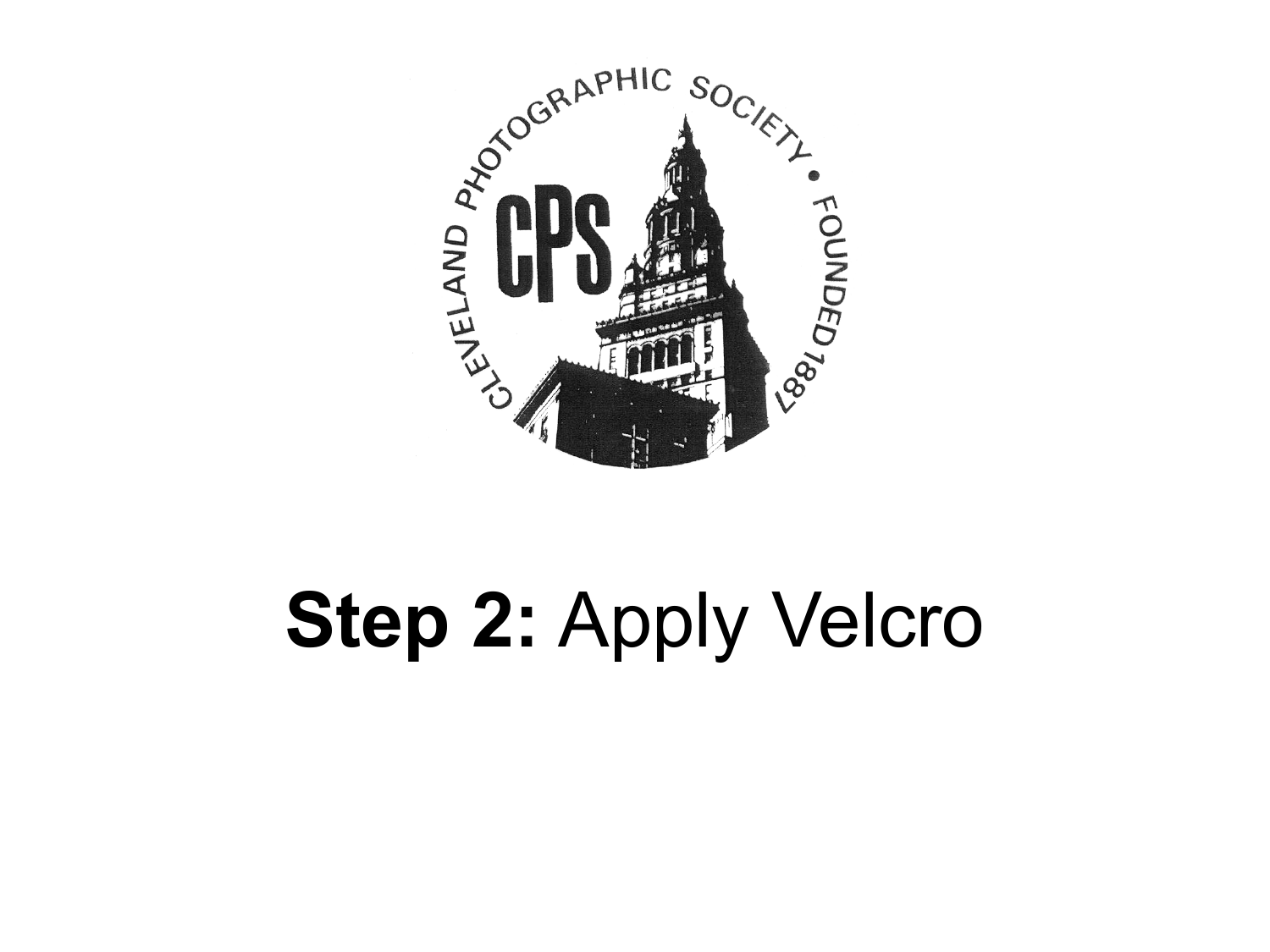

# **Step 2:** Apply Velcro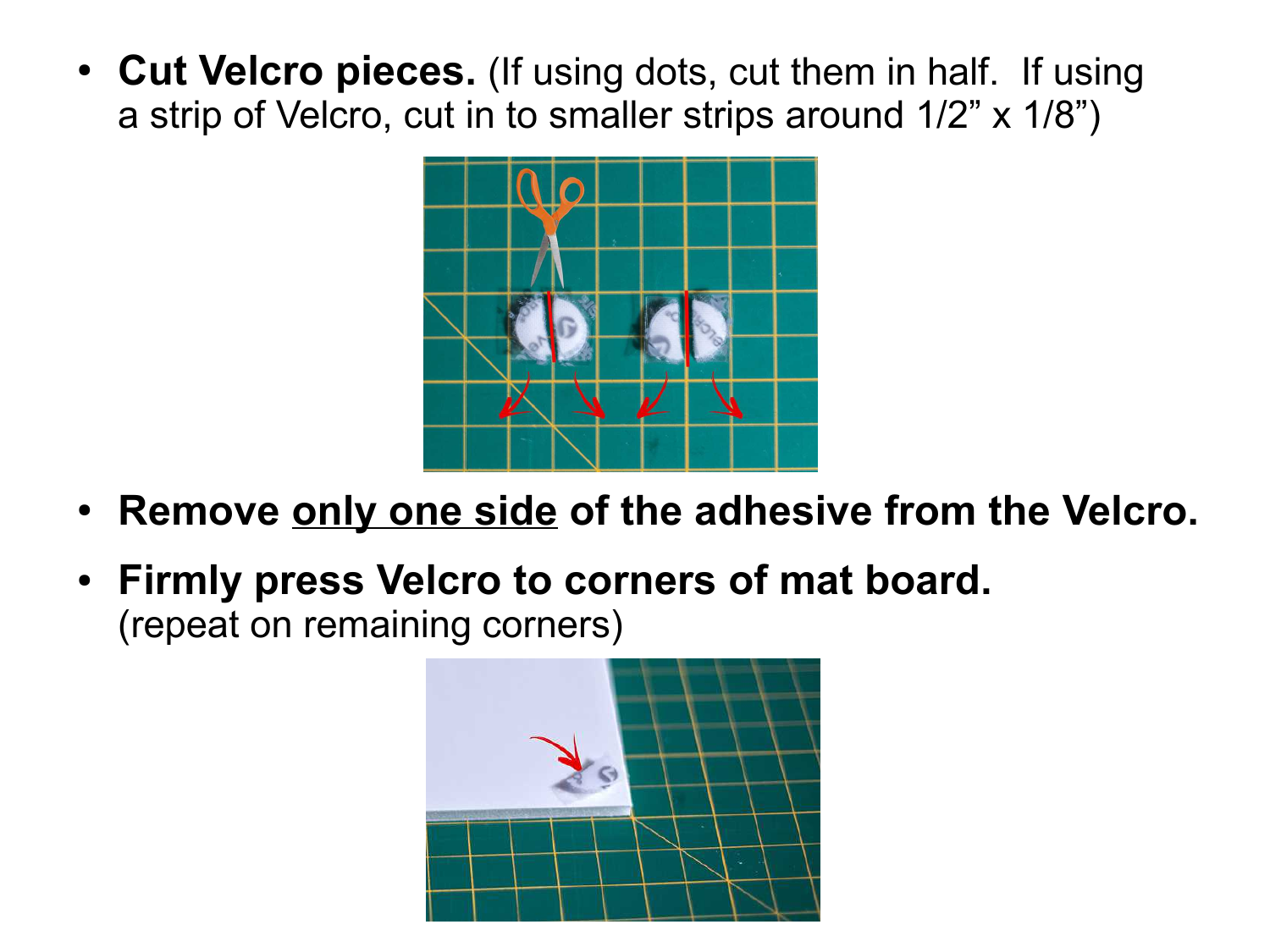• Cut Velcro pieces. (If using dots, cut them in half. If using a strip of Velcro, cut in to smaller strips around 1/2" x 1/8")



- Remove only one side of the adhesive from the Velcro.
- Firmly press Velcro to corners of mat board. (repeat on remaining corners)

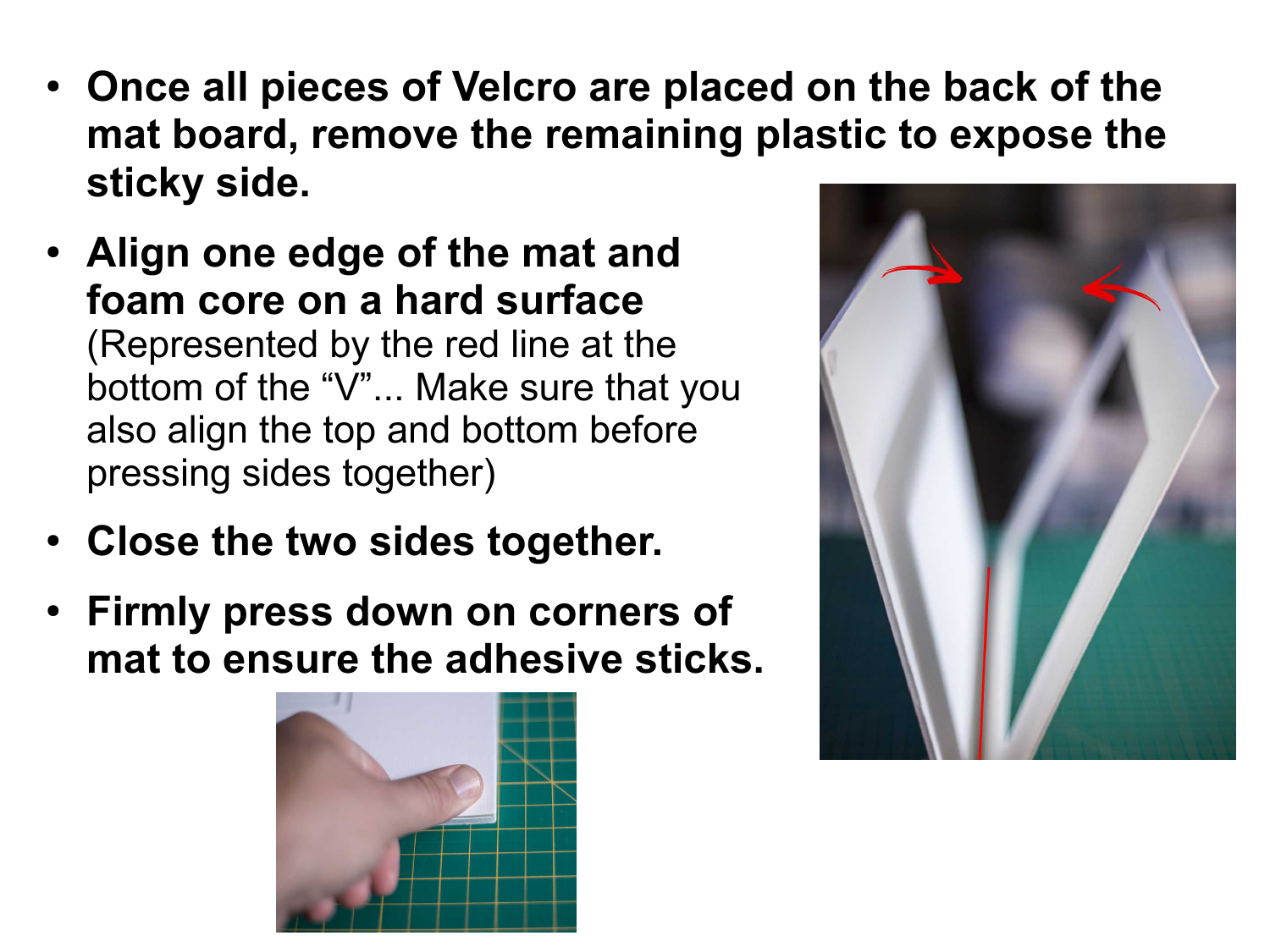- Once all pieces of Velcro are placed on the back of the **mat board, remove the remaining plastic to expose the sticky side.**
- Align one edge of the mat and **foam core on a hard surface**  (Represented by the red line at the bottom of the "V"... Make sure that you also align the top and bottom before pressing sides together)
- Close the two sides together.
- **Firmly press down on corners of mat to ensure the adhesive sticks.**



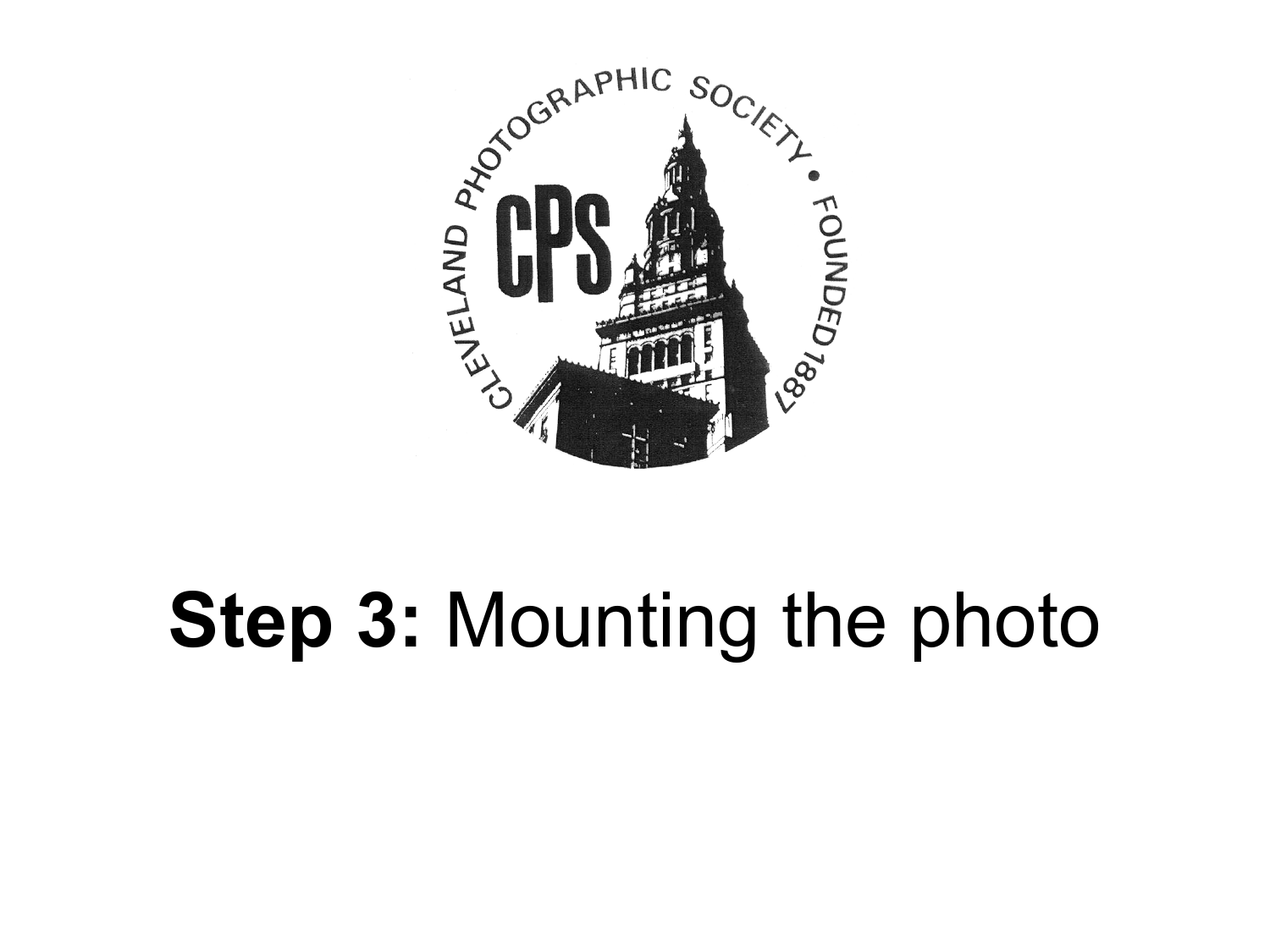

## **Step 3:** Mounting the photo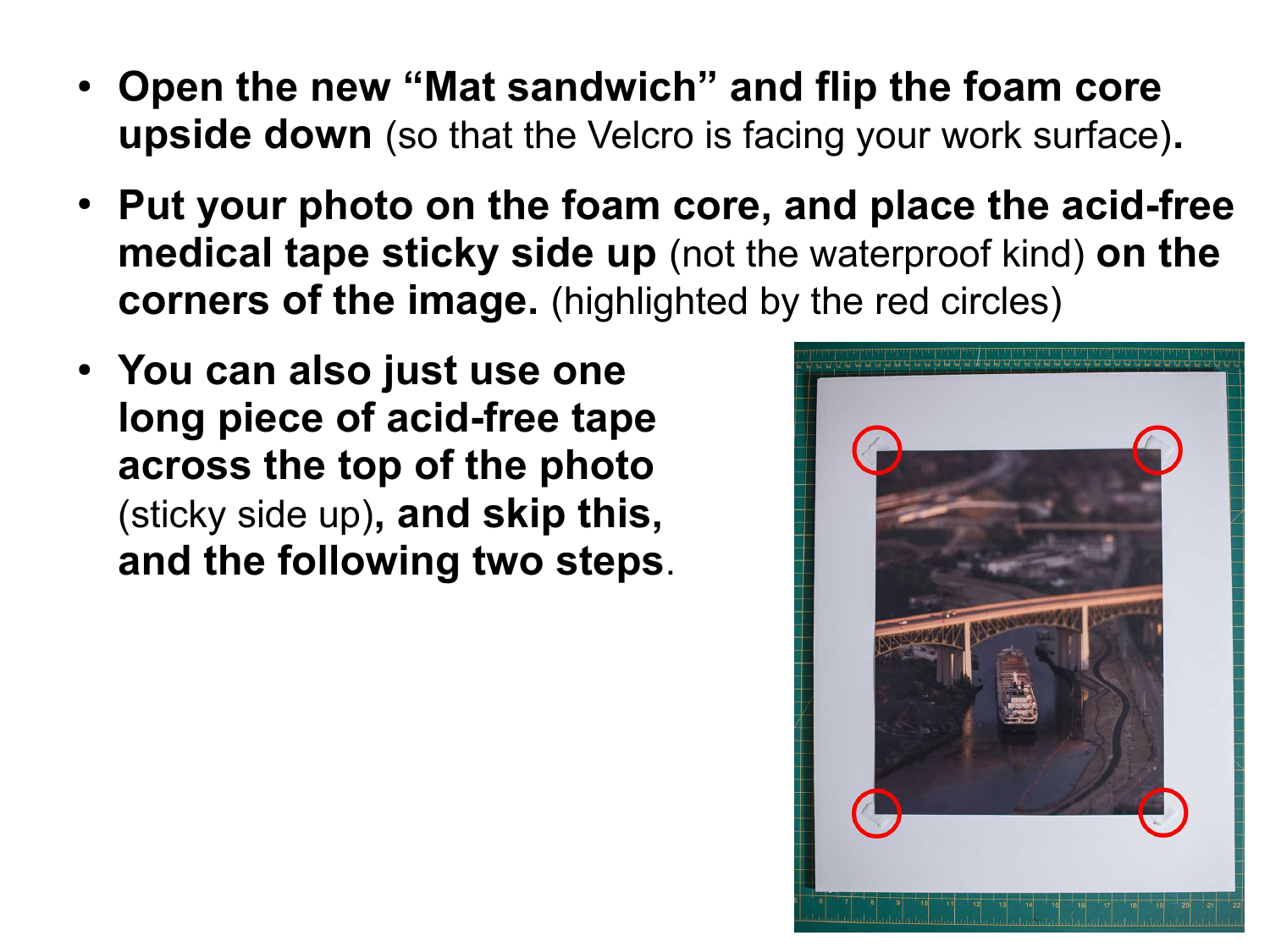- **Open the new "Mat sandwich" and flip the foam core upside down** (so that the Velcro is facing your work surface)**.**
- **Put your photo on the foam core, and place the acid-free medical tape sticky side up** (not the waterproof kind) **on the corners of the image.** (highlighted by the red circles)
- **You can also just use one long piece of acid-free tape across the top of the photo**  (sticky side up)**, and skip this, and the following two steps**.

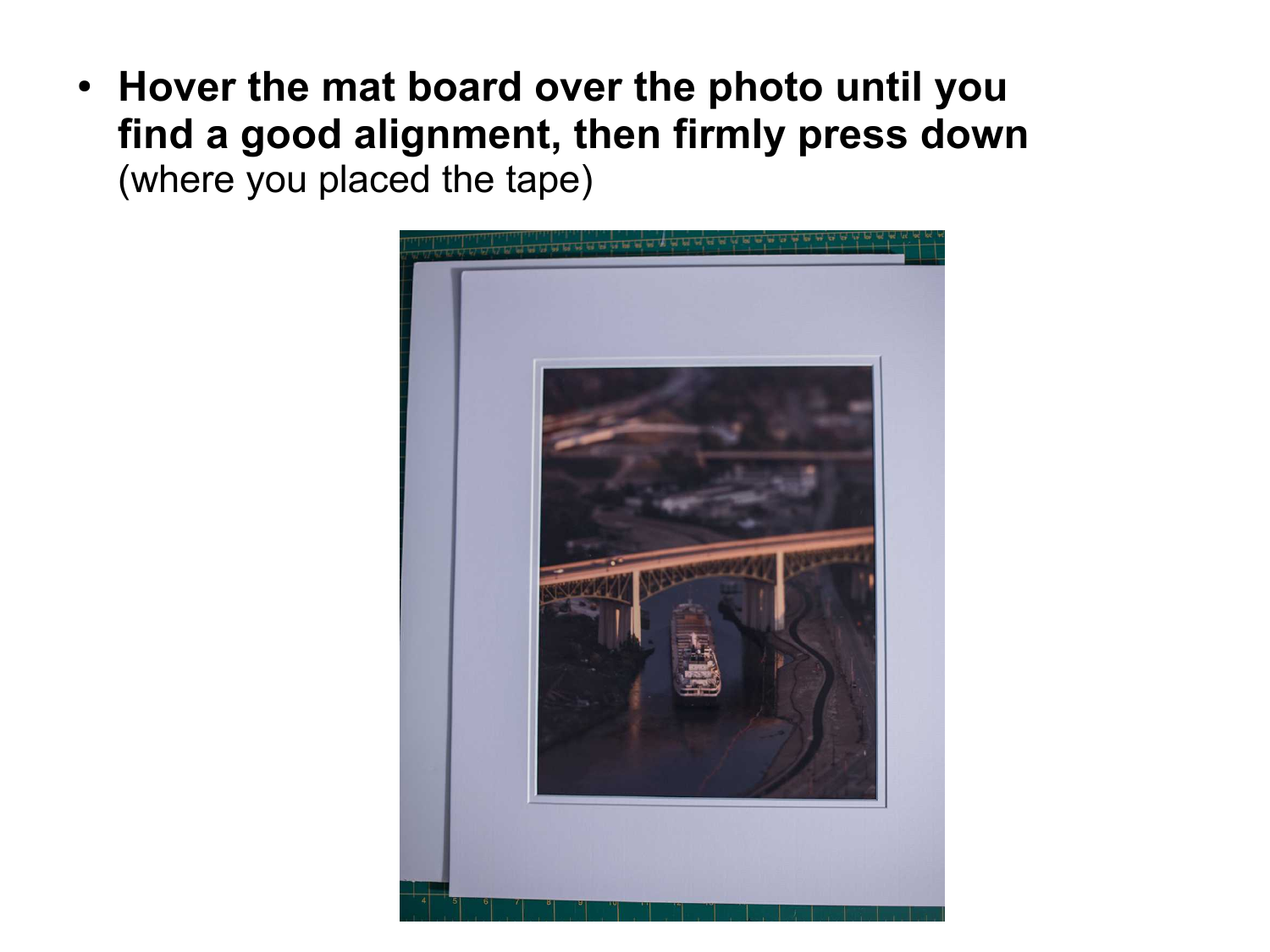● **Hover the mat board over the photo until you find a good alignment, then firmly press down**  (where you placed the tape)

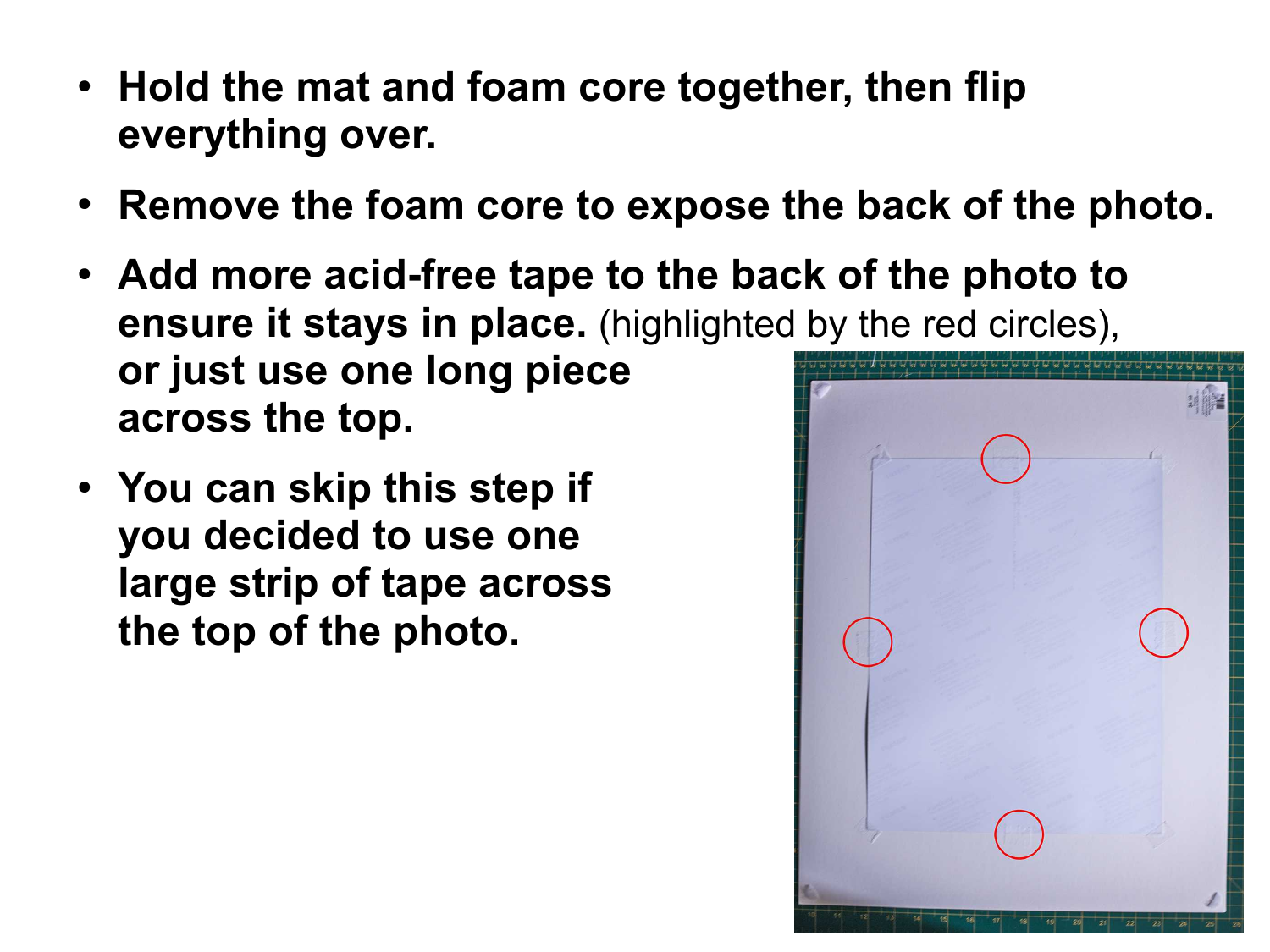- Hold the mat and foam core together, then flip **everything over.**
- Remove the foam core to expose the back of the photo.
- Add more acid-free tape to the back of the photo to **ensure it stays in place.** (highlighted by the red circles), **or just use one long piece across the top.**
- You can skip this step if **you decided to use one large strip of tape across the top of the photo.**

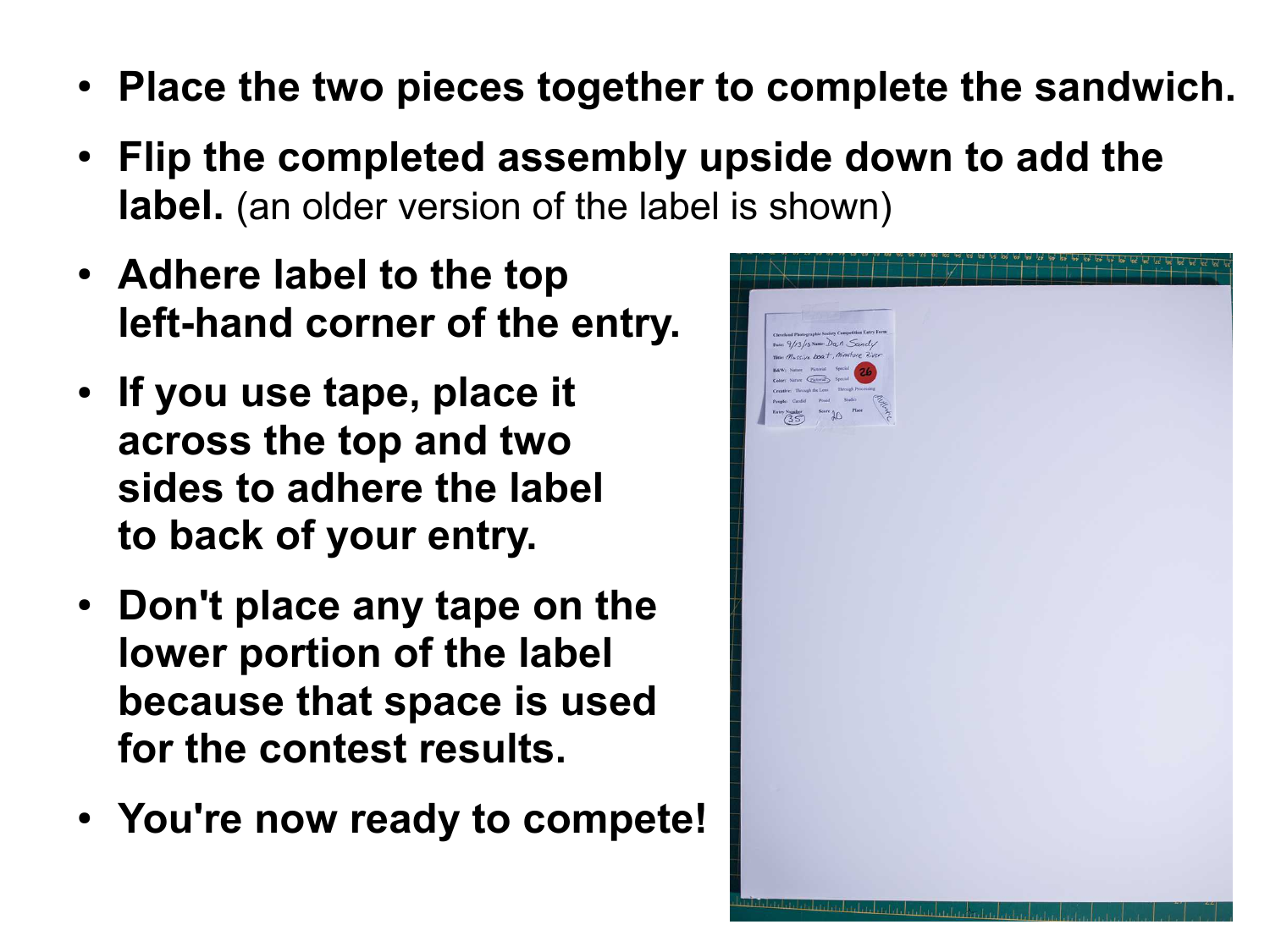- Place the two pieces together to complete the sandwich.
- **Flip the completed assembly upside down to add the label.** (an older version of the label is shown)
- **Adhere label to the top left-hand corner of the entry.**
- If you use tape, place it **across the top and two sides to adhere the label to back of your entry.**
- Don't place any tape on the **lower portion of the label because that space is used for the contest results.**
- You're now ready to compete!